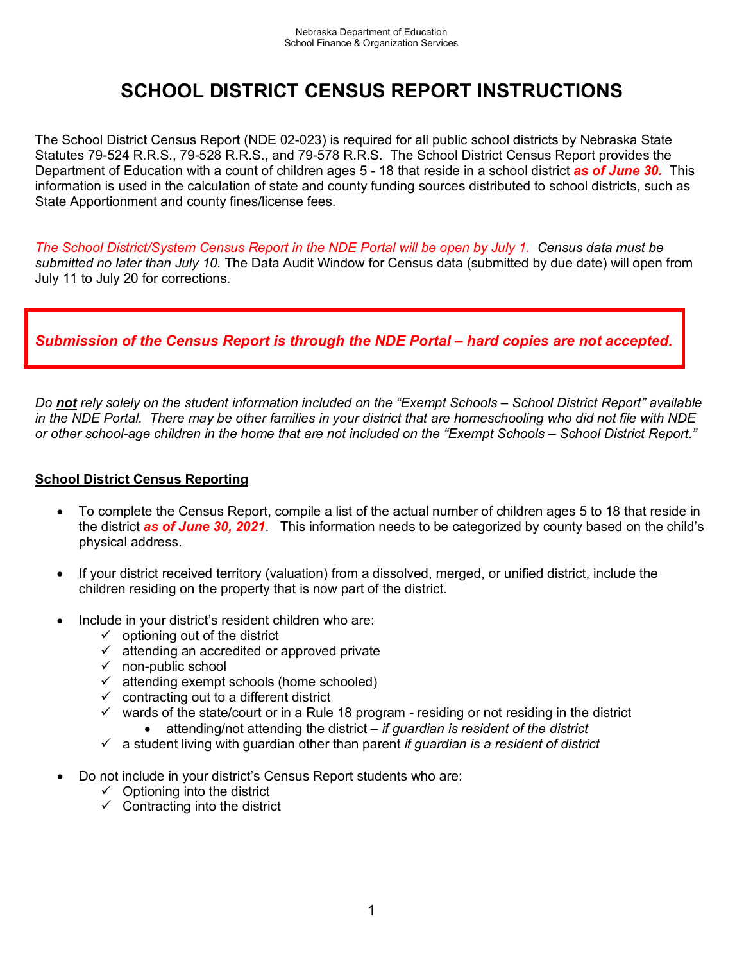# **SCHOOL DISTRICT CENSUS REPORT INSTRUCTIONS**

The School District Census Report (NDE 02-023) is required for all public school districts by Nebraska State Statutes 79-524 R.R.S., 79-528 R.R.S., and 79-578 R.R.S. The School District Census Report provides the Department of Education with a count of children ages 5 - 18 that reside in a school district *as of June 30.* This information is used in the calculation of state and county funding sources distributed to school districts, such as State Apportionment and county fines/license fees.

*The School District/System Census Report in the NDE Portal will be open by July 1. Census data must be submitted no later than July 10.* The Data Audit Window for Census data (submitted by due date) will open from July 11 to July 20 for corrections.

## *Submission of the Census Report is through the NDE Portal – hard copies are not accepted.*

*Do not rely solely on the student information included on the "Exempt Schools – School District Report" available in the NDE Portal. There may be other families in your district that are homeschooling who did not file with NDE or other school-age children in the home that are not included on the "Exempt Schools – School District Report."*

### **School District Census Reporting**

- To complete the Census Report, compile a list of the actual number of children ages 5 to 18 that reside in the district *as of June 30, 2021*. This information needs to be categorized by county based on the child's physical address.
- If your district received territory (valuation) from a dissolved, merged, or unified district, include the children residing on the property that is now part of the district.
- Include in your district's resident children who are:
	- $\checkmark$  optioning out of the district
	- $\checkmark$  attending an accredited or approved private
	- $\checkmark$  non-public school
	- $\checkmark$  attending exempt schools (home schooled)
	- $\checkmark$  contracting out to a different district
	- $\checkmark$  wards of the state/court or in a Rule 18 program residing or not residing in the district
		- attending/not attending the district *if guardian is resident of the district*
	- a student living with guardian other than parent *if guardian is a resident of district*
- Do not include in your district's Census Report students who are:
	- $\checkmark$  Optioning into the district
	- $\checkmark$  Contracting into the district